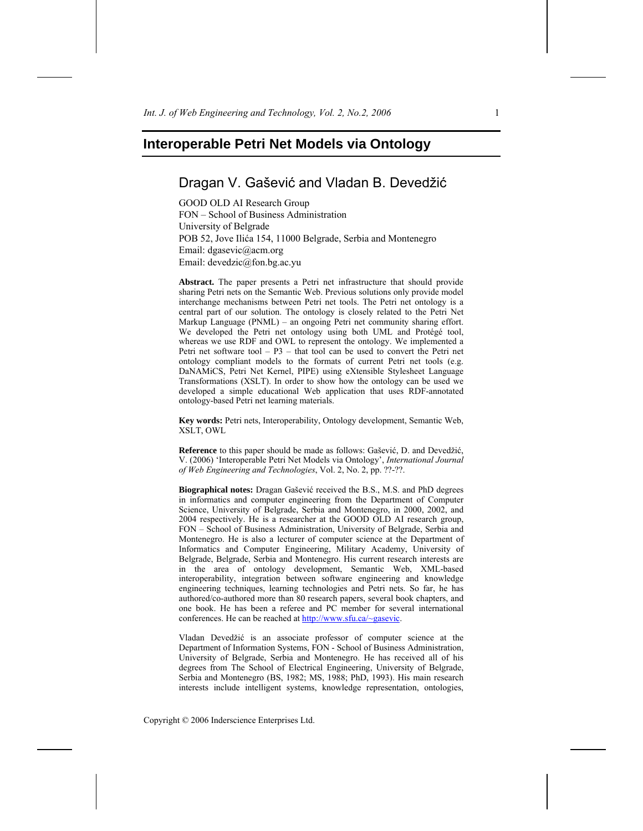# Dragan V. Gašević and Vladan B. Devedžić

GOOD OLD AI Research Group FON – School of Business Administration University of Belgrade POB 52, Jove Ilića 154, 11000 Belgrade, Serbia and Montenegro Email: dgasevic@acm.org Email: devedzic@fon.bg.ac.yu

**Abstract.** The paper presents a Petri net infrastructure that should provide sharing Petri nets on the Semantic Web. Previous solutions only provide model interchange mechanisms between Petri net tools. The Petri net ontology is a central part of our solution. The ontology is closely related to the Petri Net Markup Language (PNML) – an ongoing Petri net community sharing effort. We developed the Petri net ontology using both UML and Protégé tool, whereas we use RDF and OWL to represent the ontology. We implemented a Petri net software tool – P3 – that tool can be used to convert the Petri net ontology compliant models to the formats of current Petri net tools (e.g. DaNAMiCS, Petri Net Kernel, PIPE) using eXtensible Stylesheet Language Transformations (XSLT). In order to show how the ontology can be used we developed a simple educational Web application that uses RDF-annotated ontology-based Petri net learning materials.

**Key words:** Petri nets, Interoperability, Ontology development, Semantic Web, XSLT, OWL

**Reference** to this paper should be made as follows: Gašević, D. and Devedžić, V. (2006) 'Interoperable Petri Net Models via Ontology', *International Journal of Web Engineering and Technologies*, Vol. 2, No. 2, pp. ??-??.

**Biographical notes:** Dragan Gašević received the B.S., M.S. and PhD degrees in informatics and computer engineering from the Department of Computer Science, University of Belgrade, Serbia and Montenegro, in 2000, 2002, and 2004 respectively. He is a researcher at the GOOD OLD AI research group, FON – School of Business Administration, University of Belgrade, Serbia and Montenegro. He is also a lecturer of computer science at the Department of Informatics and Computer Engineering, Military Academy, University of Belgrade, Belgrade, Serbia and Montenegro. His current research interests are in the area of ontology development, Semantic Web, XML-based interoperability, integration between software engineering and knowledge engineering techniques, learning technologies and Petri nets. So far, he has authored/co-authored more than 80 research papers, several book chapters, and one book. He has been a referee and PC member for several international conferences. He can be reached at http://www.sfu.ca/~gasevic.

Vladan Devedžić is an associate professor of computer science at the Department of Information Systems, FON - School of Business Administration, University of Belgrade, Serbia and Montenegro. He has received all of his degrees from The School of Electrical Engineering, University of Belgrade, Serbia and Montenegro (BS, 1982; MS, 1988; PhD, 1993). His main research interests include intelligent systems, knowledge representation, ontologies,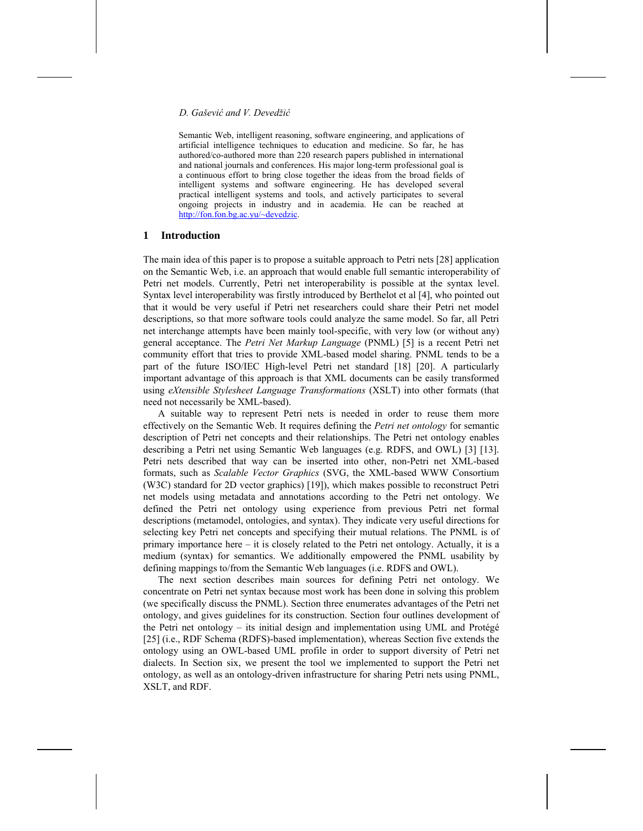Semantic Web, intelligent reasoning, software engineering, and applications of artificial intelligence techniques to education and medicine. So far, he has authored/co-authored more than 220 research papers published in international and national journals and conferences. His major long-term professional goal is a continuous effort to bring close together the ideas from the broad fields of intelligent systems and software engineering. He has developed several practical intelligent systems and tools, and actively participates to several ongoing projects in industry and in academia. He can be reached at http://fon.fon.bg.ac.yu/~devedzic.

#### **1 Introduction**

The main idea of this paper is to propose a suitable approach to Petri nets [28] application on the Semantic Web, i.e. an approach that would enable full semantic interoperability of Petri net models. Currently, Petri net interoperability is possible at the syntax level. Syntax level interoperability was firstly introduced by Berthelot et al [4], who pointed out that it would be very useful if Petri net researchers could share their Petri net model descriptions, so that more software tools could analyze the same model. So far, all Petri net interchange attempts have been mainly tool-specific, with very low (or without any) general acceptance. The *Petri Net Markup Language* (PNML) [5] is a recent Petri net community effort that tries to provide XML-based model sharing. PNML tends to be a part of the future ISO/IEC High-level Petri net standard [18] [20]. A particularly important advantage of this approach is that XML documents can be easily transformed using *eXtensible Stylesheet Language Transformations* (XSLT) into other formats (that need not necessarily be XML-based).

A suitable way to represent Petri nets is needed in order to reuse them more effectively on the Semantic Web. It requires defining the *Petri net ontology* for semantic description of Petri net concepts and their relationships. The Petri net ontology enables describing a Petri net using Semantic Web languages (e.g. RDFS, and OWL) [3] [13]. Petri nets described that way can be inserted into other, non-Petri net XML-based formats, such as *Scalable Vector Graphics* (SVG, the XML-based WWW Consortium (W3C) standard for 2D vector graphics) [19]), which makes possible to reconstruct Petri net models using metadata and annotations according to the Petri net ontology. We defined the Petri net ontology using experience from previous Petri net formal descriptions (metamodel, ontologies, and syntax). They indicate very useful directions for selecting key Petri net concepts and specifying their mutual relations. The PNML is of primary importance here – it is closely related to the Petri net ontology. Actually, it is a medium (syntax) for semantics. We additionally empowered the PNML usability by defining mappings to/from the Semantic Web languages (i.e. RDFS and OWL).

The next section describes main sources for defining Petri net ontology. We concentrate on Petri net syntax because most work has been done in solving this problem (we specifically discuss the PNML). Section three enumerates advantages of the Petri net ontology, and gives guidelines for its construction. Section four outlines development of the Petri net ontology – its initial design and implementation using UML and Protégé [25] (i.e., RDF Schema (RDFS)-based implementation), whereas Section five extends the ontology using an OWL-based UML profile in order to support diversity of Petri net dialects. In Section six, we present the tool we implemented to support the Petri net ontology, as well as an ontology-driven infrastructure for sharing Petri nets using PNML, XSLT, and RDF.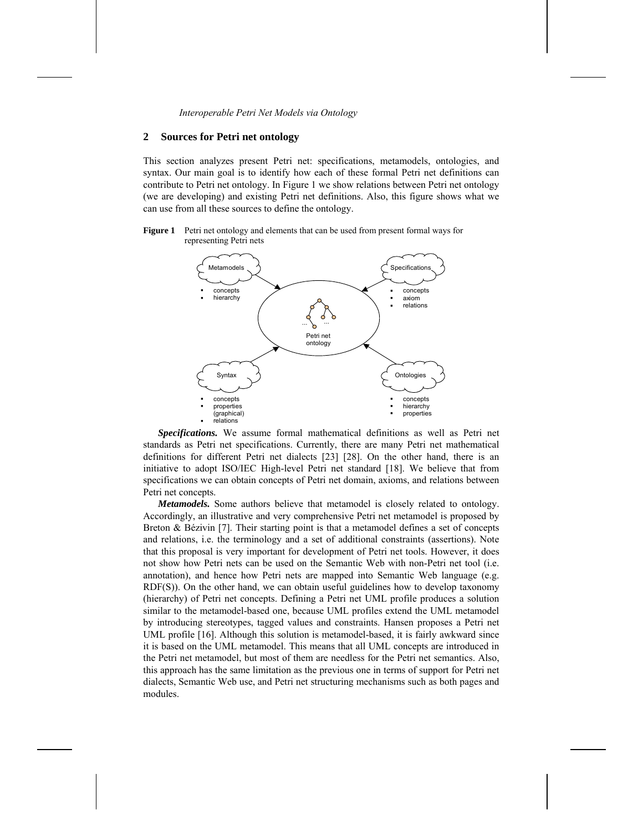## **2 Sources for Petri net ontology**

This section analyzes present Petri net: specifications, metamodels, ontologies, and syntax. Our main goal is to identify how each of these formal Petri net definitions can contribute to Petri net ontology. In Figure 1 we show relations between Petri net ontology (we are developing) and existing Petri net definitions. Also, this figure shows what we can use from all these sources to define the ontology.

**Figure 1** Petri net ontology and elements that can be used from present formal ways for representing Petri nets



*Specifications.* We assume formal mathematical definitions as well as Petri net standards as Petri net specifications. Currently, there are many Petri net mathematical definitions for different Petri net dialects [23] [28]. On the other hand, there is an initiative to adopt ISO/IEC High-level Petri net standard [18]. We believe that from specifications we can obtain concepts of Petri net domain, axioms, and relations between Petri net concepts.

*Metamodels.* Some authors believe that metamodel is closely related to ontology. Accordingly, an illustrative and very comprehensive Petri net metamodel is proposed by Breton & Bézivin [7]. Their starting point is that a metamodel defines a set of concepts and relations, i.e. the terminology and a set of additional constraints (assertions). Note that this proposal is very important for development of Petri net tools. However, it does not show how Petri nets can be used on the Semantic Web with non-Petri net tool (i.e. annotation), and hence how Petri nets are mapped into Semantic Web language (e.g. RDF(S)). On the other hand, we can obtain useful guidelines how to develop taxonomy (hierarchy) of Petri net concepts. Defining a Petri net UML profile produces a solution similar to the metamodel-based one, because UML profiles extend the UML metamodel by introducing stereotypes, tagged values and constraints. Hansen proposes a Petri net UML profile [16]. Although this solution is metamodel-based, it is fairly awkward since it is based on the UML metamodel. This means that all UML concepts are introduced in the Petri net metamodel, but most of them are needless for the Petri net semantics. Also, this approach has the same limitation as the previous one in terms of support for Petri net dialects, Semantic Web use, and Petri net structuring mechanisms such as both pages and modules.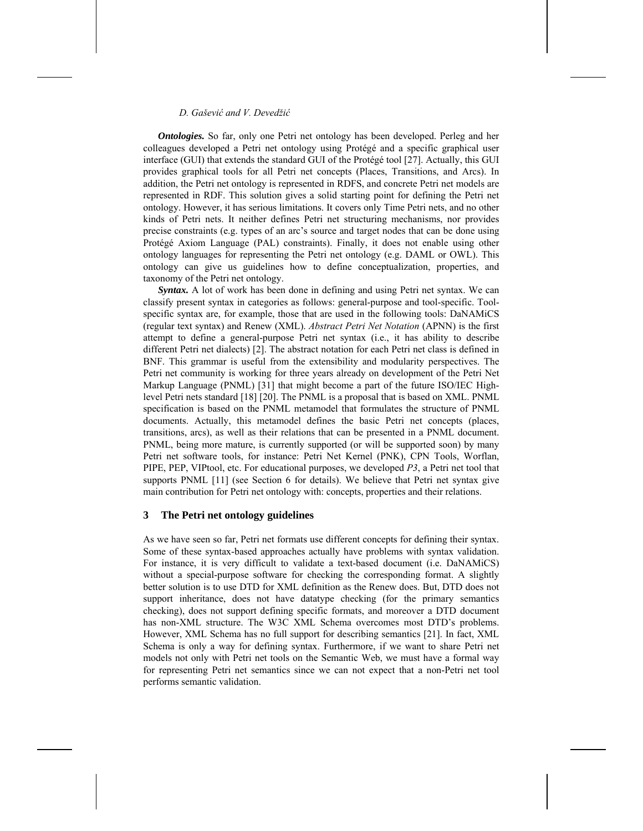*Ontologies.* So far, only one Petri net ontology has been developed. Perleg and her colleagues developed a Petri net ontology using Protégé and a specific graphical user interface (GUI) that extends the standard GUI of the Protégé tool [27]. Actually, this GUI provides graphical tools for all Petri net concepts (Places, Transitions, and Arcs). In addition, the Petri net ontology is represented in RDFS, and concrete Petri net models are represented in RDF. This solution gives a solid starting point for defining the Petri net ontology. However, it has serious limitations. It covers only Time Petri nets, and no other kinds of Petri nets. It neither defines Petri net structuring mechanisms, nor provides precise constraints (e.g. types of an arc's source and target nodes that can be done using Protégé Axiom Language (PAL) constraints). Finally, it does not enable using other ontology languages for representing the Petri net ontology (e.g. DAML or OWL). This ontology can give us guidelines how to define conceptualization, properties, and taxonomy of the Petri net ontology.

*Syntax.* A lot of work has been done in defining and using Petri net syntax. We can classify present syntax in categories as follows: general-purpose and tool-specific. Toolspecific syntax are, for example, those that are used in the following tools: DaNAMiCS (regular text syntax) and Renew (XML). *Abstract Petri Net Notation* (APNN) is the first attempt to define a general-purpose Petri net syntax (i.e., it has ability to describe different Petri net dialects) [2]. The abstract notation for each Petri net class is defined in BNF. This grammar is useful from the extensibility and modularity perspectives. The Petri net community is working for three years already on development of the Petri Net Markup Language (PNML) [31] that might become a part of the future ISO/IEC Highlevel Petri nets standard [18] [20]. The PNML is a proposal that is based on XML. PNML specification is based on the PNML metamodel that formulates the structure of PNML documents. Actually, this metamodel defines the basic Petri net concepts (places, transitions, arcs), as well as their relations that can be presented in a PNML document. PNML, being more mature, is currently supported (or will be supported soon) by many Petri net software tools, for instance: Petri Net Kernel (PNK), CPN Tools, Worflan, PIPE, PEP, VIPtool, etc. For educational purposes, we developed *P3*, a Petri net tool that supports PNML [11] (see Section 6 for details). We believe that Petri net syntax give main contribution for Petri net ontology with: concepts, properties and their relations.

#### **3 The Petri net ontology guidelines**

As we have seen so far, Petri net formats use different concepts for defining their syntax. Some of these syntax-based approaches actually have problems with syntax validation. For instance, it is very difficult to validate a text-based document (i.e. DaNAMiCS) without a special-purpose software for checking the corresponding format. A slightly better solution is to use DTD for XML definition as the Renew does. But, DTD does not support inheritance, does not have datatype checking (for the primary semantics checking), does not support defining specific formats, and moreover a DTD document has non-XML structure. The W3C XML Schema overcomes most DTD's problems. However, XML Schema has no full support for describing semantics [21]. In fact, XML Schema is only a way for defining syntax. Furthermore, if we want to share Petri net models not only with Petri net tools on the Semantic Web, we must have a formal way for representing Petri net semantics since we can not expect that a non-Petri net tool performs semantic validation.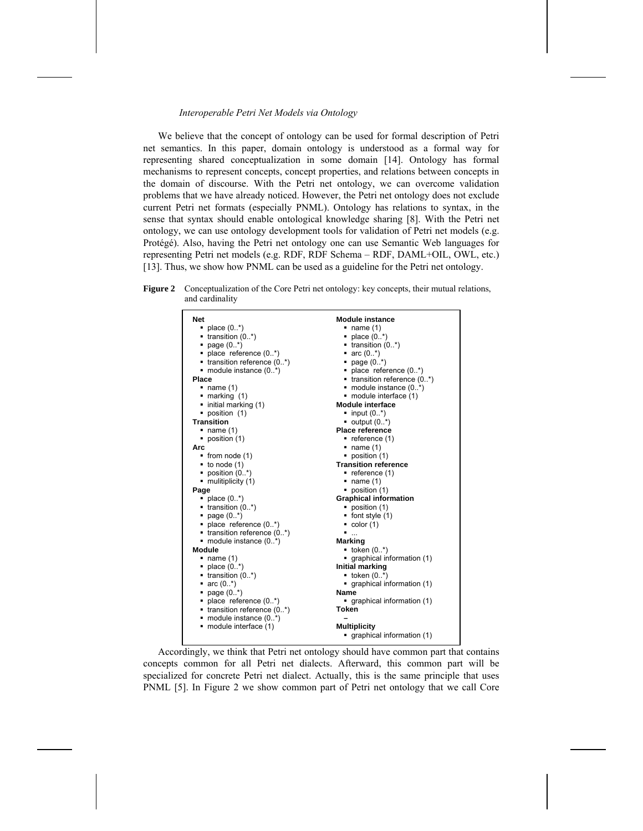We believe that the concept of ontology can be used for formal description of Petri net semantics. In this paper, domain ontology is understood as a formal way for representing shared conceptualization in some domain [14]. Ontology has formal mechanisms to represent concepts, concept properties, and relations between concepts in the domain of discourse. With the Petri net ontology, we can overcome validation problems that we have already noticed. However, the Petri net ontology does not exclude current Petri net formats (especially PNML). Ontology has relations to syntax, in the sense that syntax should enable ontological knowledge sharing [8]. With the Petri net ontology, we can use ontology development tools for validation of Petri net models (e.g. Protégé). Also, having the Petri net ontology one can use Semantic Web languages for representing Petri net models (e.g. RDF, RDF Schema – RDF, DAML+OIL, OWL, etc.) [13]. Thus, we show how PNML can be used as a guideline for the Petri net ontology.

**Figure 2** Conceptualization of the Core Petri net ontology: key concepts, their mutual relations, and cardinality



Accordingly, we think that Petri net ontology should have common part that contains concepts common for all Petri net dialects. Afterward, this common part will be specialized for concrete Petri net dialect. Actually, this is the same principle that uses PNML [5]. In Figure 2 we show common part of Petri net ontology that we call Core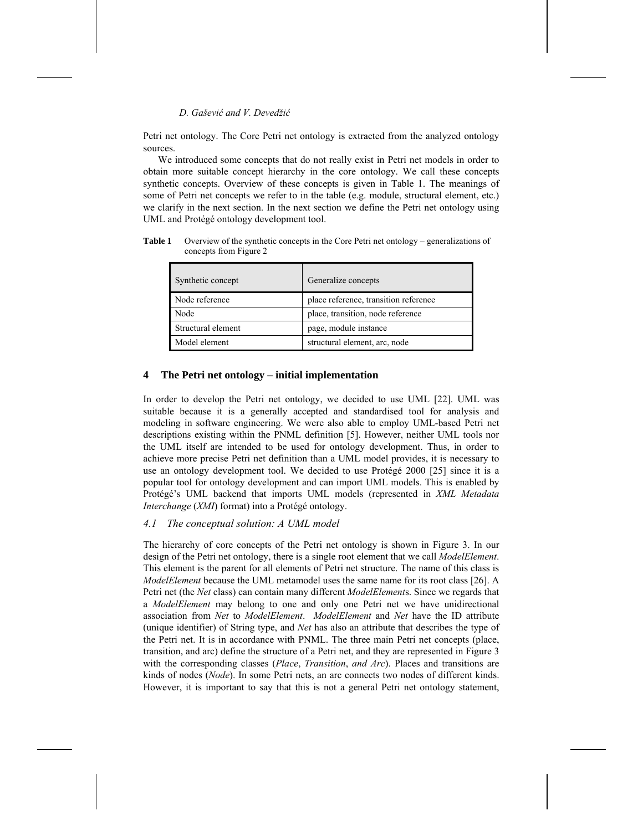Petri net ontology. The Core Petri net ontology is extracted from the analyzed ontology sources.

We introduced some concepts that do not really exist in Petri net models in order to obtain more suitable concept hierarchy in the core ontology. We call these concepts synthetic concepts. Overview of these concepts is given in Table 1. The meanings of some of Petri net concepts we refer to in the table (e.g. module, structural element, etc.) we clarify in the next section. In the next section we define the Petri net ontology using UML and Protégé ontology development tool.

**Table 1** Overview of the synthetic concepts in the Core Petri net ontology – generalizations of concepts from Figure 2

| Synthetic concept  | Generalize concepts                   |  |
|--------------------|---------------------------------------|--|
| Node reference     | place reference, transition reference |  |
| Node               | place, transition, node reference     |  |
| Structural element | page, module instance                 |  |
| Model element      | structural element, arc, node         |  |

## **4 The Petri net ontology – initial implementation**

In order to develop the Petri net ontology, we decided to use UML [22]. UML was suitable because it is a generally accepted and standardised tool for analysis and modeling in software engineering. We were also able to employ UML-based Petri net descriptions existing within the PNML definition [5]. However, neither UML tools nor the UML itself are intended to be used for ontology development. Thus, in order to achieve more precise Petri net definition than a UML model provides, it is necessary to use an ontology development tool. We decided to use Protégé 2000 [25] since it is a popular tool for ontology development and can import UML models. This is enabled by Protégé's UML backend that imports UML models (represented in *XML Metadata Interchange* (*XMI*) format) into a Protégé ontology.

## *4.1 The conceptual solution: A UML model*

The hierarchy of core concepts of the Petri net ontology is shown in Figure 3. In our design of the Petri net ontology, there is a single root element that we call *ModelElement*. This element is the parent for all elements of Petri net structure. The name of this class is *ModelElement* because the UML metamodel uses the same name for its root class [26]. A Petri net (the *Net* class) can contain many different *ModelElement*s. Since we regards that a *ModelElement* may belong to one and only one Petri net we have unidirectional association from *Net* to *ModelElement*. *ModelElement* and *Net* have the ID attribute (unique identifier) of String type, and *Net* has also an attribute that describes the type of the Petri net. It is in accordance with PNML. The three main Petri net concepts (place, transition, and arc) define the structure of a Petri net, and they are represented in Figure 3 with the corresponding classes (*Place*, *Transition*, *and Arc*). Places and transitions are kinds of nodes (*Node*). In some Petri nets, an arc connects two nodes of different kinds. However, it is important to say that this is not a general Petri net ontology statement,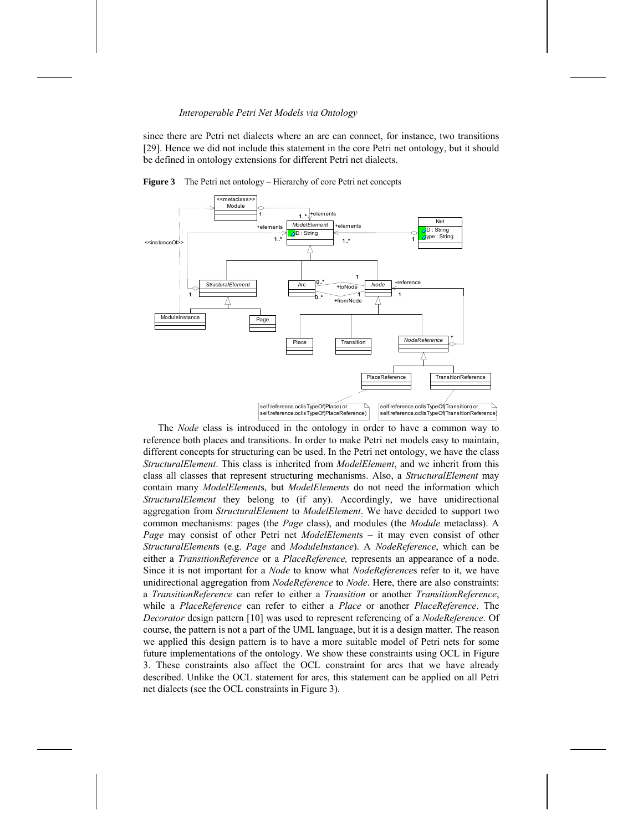since there are Petri net dialects where an arc can connect, for instance, two transitions [29]. Hence we did not include this statement in the core Petri net ontology, but it should be defined in ontology extensions for different Petri net dialects.



**Figure 3** The Petri net ontology – Hierarchy of core Petri net concepts

The *Node* class is introduced in the ontology in order to have a common way to reference both places and transitions. In order to make Petri net models easy to maintain, different concepts for structuring can be used. In the Petri net ontology, we have the class *StructuralElement*. This class is inherited from *ModelElement*, and we inherit from this class all classes that represent structuring mechanisms. Also, a *StructuralElement* may contain many *ModelElement*s, but *ModelElements* do not need the information which *StructuralElement* they belong to (if any). Accordingly, we have unidirectional aggregation from *StructuralElement* to *ModelElement*. We have decided to support two common mechanisms: pages (the *Page* class), and modules (the *Module* metaclass). A *Page* may consist of other Petri net *ModelElement*s – it may even consist of other *StructuralElement*s (e.g. *Page* and *ModuleInstance*). A *NodeReference*, which can be either a *TransitionReference* or a *PlaceReference,* represents an appearance of a node. Since it is not important for a *Node* to know what *NodeReference*s refer to it, we have unidirectional aggregation from *NodeReference* to *Node*. Here, there are also constraints: a *TransitionReference* can refer to either a *Transition* or another *TransitionReference*, while a *PlaceReference* can refer to either a *Place* or another *PlaceReference*. The *Decorator* design pattern [10] was used to represent referencing of a *NodeReference*. Of course, the pattern is not a part of the UML language, but it is a design matter. The reason we applied this design pattern is to have a more suitable model of Petri nets for some future implementations of the ontology. We show these constraints using OCL in Figure 3. These constraints also affect the OCL constraint for arcs that we have already described. Unlike the OCL statement for arcs, this statement can be applied on all Petri net dialects (see the OCL constraints in Figure 3).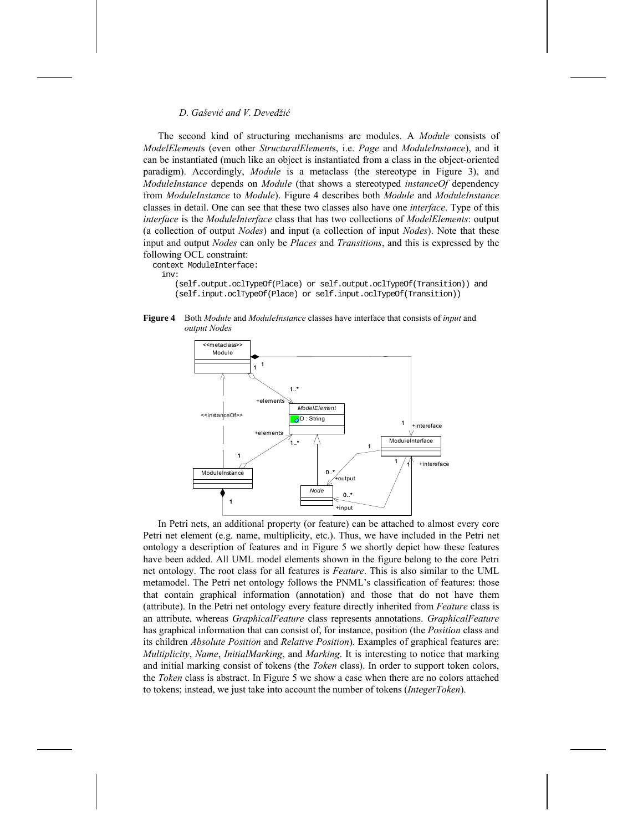The second kind of structuring mechanisms are modules. A *Module* consists of *ModelElement*s (even other *StructuralElement*s, i.e. *Page* and *ModuleInstance*), and it can be instantiated (much like an object is instantiated from a class in the object-oriented paradigm). Accordingly, *Module* is a metaclass (the stereotype in Figure 3), and *ModuleInstance* depends on *Module* (that shows a stereotyped *instanceOf* dependency from *ModuleInstance* to *Module*). Figure 4 describes both *Module* and *ModuleInstance* classes in detail. One can see that these two classes also have one *interface*. Type of this *interface* is the *ModuleInterface* class that has two collections of *ModelElements*: output (a collection of output *Nodes*) and input (a collection of input *Nodes*). Note that these input and output *Nodes* can only be *Places* and *Transitions*, and this is expressed by the following OCL constraint:

context ModuleInterface:

inv:

 (self.output.oclTypeOf(Place) or self.output.oclTypeOf(Transition)) and (self.input.oclTypeOf(Place) or self.input.oclTypeOf(Transition))

**Figure 4** Both *Module* and *ModuleInstance* classes have interface that consists of *input* and *output Nodes* 



In Petri nets, an additional property (or feature) can be attached to almost every core Petri net element (e.g. name, multiplicity, etc.). Thus, we have included in the Petri net ontology a description of features and in Figure 5 we shortly depict how these features have been added. All UML model elements shown in the figure belong to the core Petri net ontology. The root class for all features is *Feature*. This is also similar to the UML metamodel. The Petri net ontology follows the PNML's classification of features: those that contain graphical information (annotation) and those that do not have them (attribute). In the Petri net ontology every feature directly inherited from *Feature* class is an attribute, whereas *GraphicalFeature* class represents annotations. *GraphicalFeature*  has graphical information that can consist of, for instance, position (the *Position* class and its children *Absolute Position* and *Relative Position*). Examples of graphical features are: *Multiplicity*, *Name*, *InitialMarking*, and *Marking*. It is interesting to notice that marking and initial marking consist of tokens (the *Token* class). In order to support token colors, the *Token* class is abstract. In Figure 5 we show a case when there are no colors attached to tokens; instead, we just take into account the number of tokens (*IntegerToken*).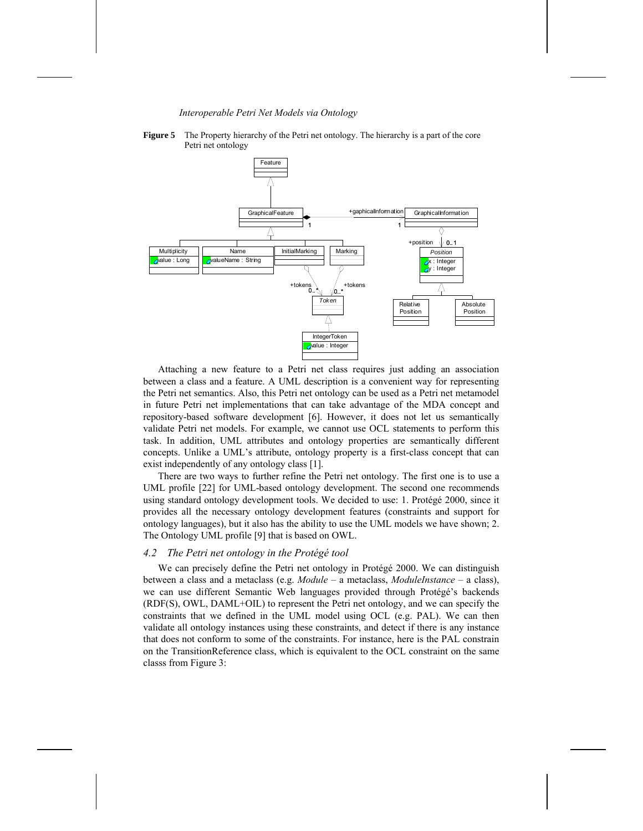

**Figure 5** The Property hierarchy of the Petri net ontology. The hierarchy is a part of the core Petri net ontology

Attaching a new feature to a Petri net class requires just adding an association between a class and a feature. A UML description is a convenient way for representing the Petri net semantics. Also, this Petri net ontology can be used as a Petri net metamodel in future Petri net implementations that can take advantage of the MDA concept and repository-based software development [6]. However, it does not let us semantically validate Petri net models. For example, we cannot use OCL statements to perform this task. In addition, UML attributes and ontology properties are semantically different concepts. Unlike a UML's attribute, ontology property is a first-class concept that can exist independently of any ontology class [1].

There are two ways to further refine the Petri net ontology. The first one is to use a UML profile [22] for UML-based ontology development. The second one recommends using standard ontology development tools. We decided to use: 1. Protégé 2000, since it provides all the necessary ontology development features (constraints and support for ontology languages), but it also has the ability to use the UML models we have shown; 2. The Ontology UML profile [9] that is based on OWL.

#### *4.2 The Petri net ontology in the Protégé tool*

We can precisely define the Petri net ontology in Protégé 2000. We can distinguish between a class and a metaclass (e.g. *Module* – a metaclass, *ModuleInstance* – a class), we can use different Semantic Web languages provided through Protégé's backends (RDF(S), OWL, DAML+OIL) to represent the Petri net ontology, and we can specify the constraints that we defined in the UML model using OCL (e.g. PAL). We can then validate all ontology instances using these constraints, and detect if there is any instance that does not conform to some of the constraints. For instance, here is the PAL constrain on the TransitionReference class, which is equivalent to the OCL constraint on the same classs from Figure 3: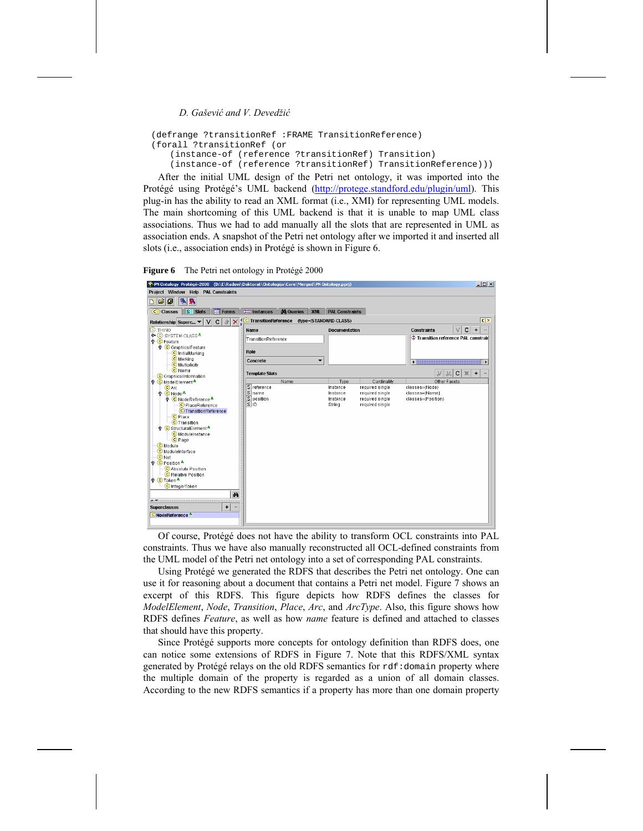```
(defrange ?transitionRef :FRAME TransitionReference) 
(forall ?transitionRef (or 
   (instance-of (reference ?transitionRef) Transition)
    (instance-of (reference ?transitionRef) TransitionReference)))
```
After the initial UML design of the Petri net ontology, it was imported into the Protégé using Protégé's UML backend (http://protege.standford.edu/plugin/uml). This plug-in has the ability to read an XML format (i.e., XMI) for representing UML models. The main shortcoming of this UML backend is that it is unable to map UML class associations. Thus we had to add manually all the slots that are represented in UML as association ends. A snapshot of the Petri net ontology after we imported it and inserted all slots (i.e., association ends) in Protégé is shown in Figure 6.

**Figure 6** The Petri net ontology in Protégé 2000



Of course, Protégé does not have the ability to transform OCL constraints into PAL constraints. Thus we have also manually reconstructed all OCL-defined constraints from the UML model of the Petri net ontology into a set of corresponding PAL constraints.

Using Protégé we generated the RDFS that describes the Petri net ontology. One can use it for reasoning about a document that contains a Petri net model. Figure 7 shows an excerpt of this RDFS. This figure depicts how RDFS defines the classes for *ModelElement*, *Node*, *Transition*, *Place*, *Arc*, and *ArcType*. Also, this figure shows how RDFS defines *Feature*, as well as how *name* feature is defined and attached to classes that should have this property.

Since Protégé supports more concepts for ontology definition than RDFS does, one can notice some extensions of RDFS in Figure 7. Note that this RDFS/XML syntax generated by Protégé relays on the old RDFS semantics for rdf:domain property where the multiple domain of the property is regarded as a union of all domain classes. According to the new RDFS semantics if a property has more than one domain property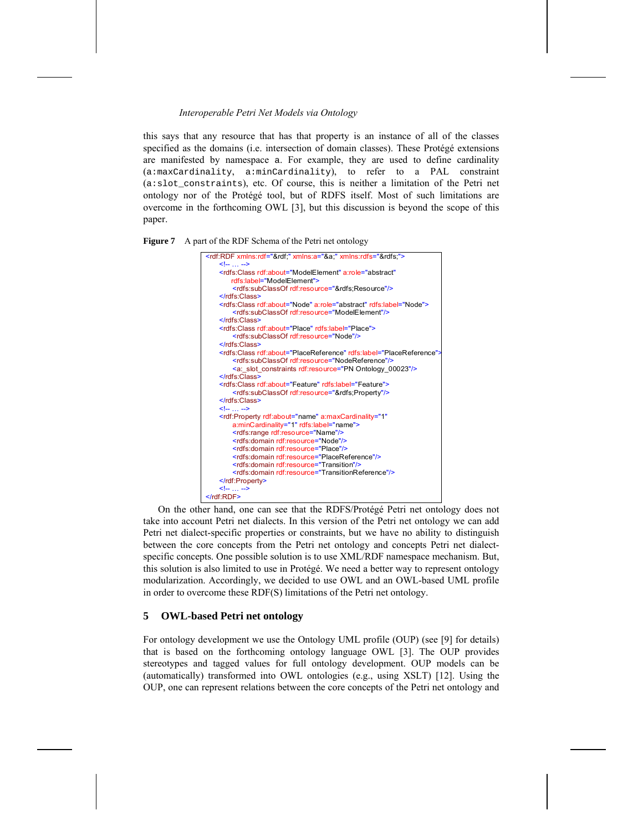this says that any resource that has that property is an instance of all of the classes specified as the domains (i.e. intersection of domain classes). These Protégé extensions are manifested by namespace a. For example, they are used to define cardinality (a:maxCardinality, a:minCardinality), to refer to a PAL constraint (a:slot\_constraints), etc. Of course, this is neither a limitation of the Petri net ontology nor of the Protégé tool, but of RDFS itself. Most of such limitations are overcome in the forthcoming OWL [3], but this discussion is beyond the scope of this paper.

**Figure 7** A part of the RDF Schema of the Petri net ontology



On the other hand, one can see that the RDFS/Protégé Petri net ontology does not take into account Petri net dialects. In this version of the Petri net ontology we can add Petri net dialect-specific properties or constraints, but we have no ability to distinguish between the core concepts from the Petri net ontology and concepts Petri net dialectspecific concepts. One possible solution is to use XML/RDF namespace mechanism. But, this solution is also limited to use in Protégé. We need a better way to represent ontology modularization. Accordingly, we decided to use OWL and an OWL-based UML profile in order to overcome these RDF(S) limitations of the Petri net ontology.

## **5 OWL-based Petri net ontology**

For ontology development we use the Ontology UML profile (OUP) (see [9] for details) that is based on the forthcoming ontology language OWL [3]. The OUP provides stereotypes and tagged values for full ontology development. OUP models can be (automatically) transformed into OWL ontologies (e.g., using XSLT) [12]. Using the OUP, one can represent relations between the core concepts of the Petri net ontology and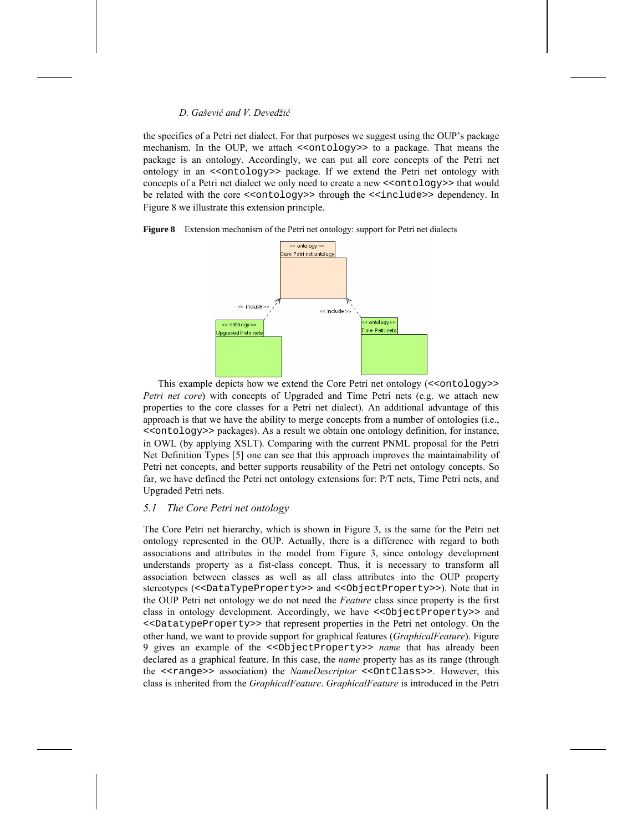the specifics of a Petri net dialect. For that purposes we suggest using the OUP's package mechanism. In the OUP, we attach <<ontology>> to a package. That means the package is an ontology. Accordingly, we can put all core concepts of the Petri net ontology in an <<ontology>> package. If we extend the Petri net ontology with concepts of a Petri net dialect we only need to create a new <<ontology>> that would be related with the core <<ontology>> through the <<include>> dependency. In Figure 8 we illustrate this extension principle.





This example depicts how we extend the Core Petri net ontology (<<ontology>> *Petri net core*) with concepts of Upgraded and Time Petri nets (e.g. we attach new properties to the core classes for a Petri net dialect). An additional advantage of this approach is that we have the ability to merge concepts from a number of ontologies (i.e., <<ontology>> packages). As a result we obtain one ontology definition, for instance, in OWL (by applying XSLT). Comparing with the current PNML proposal for the Petri Net Definition Types [5] one can see that this approach improves the maintainability of Petri net concepts, and better supports reusability of the Petri net ontology concepts. So far, we have defined the Petri net ontology extensions for: P/T nets, Time Petri nets, and Upgraded Petri nets.

## *5.1 The Core Petri net ontology*

The Core Petri net hierarchy, which is shown in Figure 3, is the same for the Petri net ontology represented in the OUP. Actually, there is a difference with regard to both associations and attributes in the model from Figure 3, since ontology development understands property as a fist-class concept. Thus, it is necessary to transform all association between classes as well as all class attributes into the OUP property stereotypes (<<DataTypeProperty>> and <<ObjectProperty>>). Note that in the OUP Petri net ontology we do not need the *Feature* class since property is the first class in ontology development. Accordingly, we have <<ObjectProperty>> and <<DatatypeProperty>> that represent properties in the Petri net ontology. On the other hand, we want to provide support for graphical features (*GraphicalFeature*). Figure 9 gives an example of the <<ObjectProperty>> *name* that has already been declared as a graphical feature. In this case, the *name* property has as its range (through the <<range>> association) the *NameDescriptor* <<OntClass>>. However, this class is inherited from the *GraphicalFeature*. *GraphicalFeature* is introduced in the Petri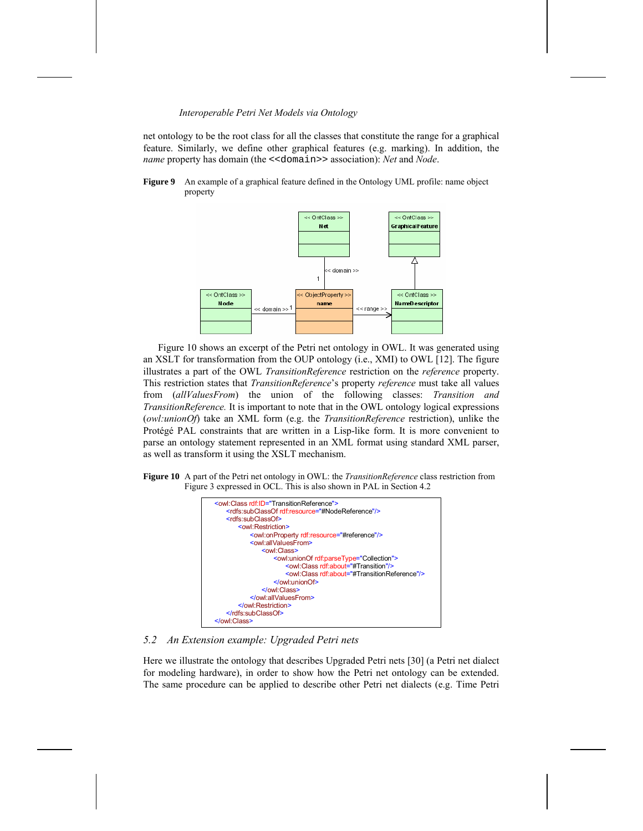net ontology to be the root class for all the classes that constitute the range for a graphical feature. Similarly, we define other graphical features (e.g. marking). In addition, the *name* property has domain (the <<domain>> association): *Net* and *Node*.

**Figure 9** An example of a graphical feature defined in the Ontology UML profile: name object property



Figure 10 shows an excerpt of the Petri net ontology in OWL. It was generated using an XSLT for transformation from the OUP ontology (i.e., XMI) to OWL [12]. The figure illustrates a part of the OWL *TransitionReference* restriction on the *reference* property. This restriction states that *TransitionReference*'s property *reference* must take all values from (*allValuesFrom*) the union of the following classes: *Transition and TransitionReference.* It is important to note that in the OWL ontology logical expressions (*owl:unionOf*) take an XML form (e.g. the *TransitionReference* restriction), unlike the Protégé PAL constraints that are written in a Lisp-like form. It is more convenient to parse an ontology statement represented in an XML format using standard XML parser, as well as transform it using the XSLT mechanism.

**Figure 10** A part of the Petri net ontology in OWL: the *TransitionReference* class restriction from Figure 3 expressed in OCL. This is also shown in PAL in Section 4.2



*5.2 An Extension example: Upgraded Petri nets* 

Here we illustrate the ontology that describes Upgraded Petri nets [30] (a Petri net dialect for modeling hardware), in order to show how the Petri net ontology can be extended. The same procedure can be applied to describe other Petri net dialects (e.g. Time Petri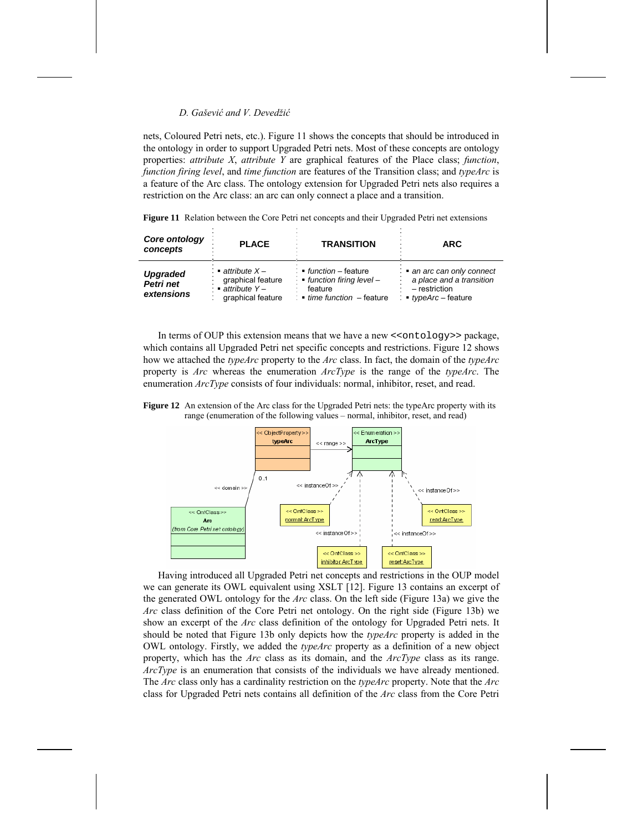nets, Coloured Petri nets, etc.). Figure 11 shows the concepts that should be introduced in the ontology in order to support Upgraded Petri nets. Most of these concepts are ontology properties: *attribute X*, *attribute Y* are graphical features of the Place class; *function*, *function firing level*, and *time function* are features of the Transition class; and *typeArc* is a feature of the Arc class. The ontology extension for Upgraded Petri nets also requires a restriction on the Arc class: an arc can only connect a place and a transition.

**Figure 11** Relation between the Core Petri net concepts and their Upgraded Petri net extensions

| Core ontology<br>concepts                  | <b>PLACE</b>                                                                                  | <b>TRANSITION</b>                                                                                         | <b>ARC</b>                                                                                  |
|--------------------------------------------|-----------------------------------------------------------------------------------------------|-----------------------------------------------------------------------------------------------------------|---------------------------------------------------------------------------------------------|
| <b>Upgraded</b><br>Petri net<br>extensions | $\blacksquare$ attribute $X -$<br>graphical feature<br>: ■ attribute Y –<br>graphical feature | function - feature<br>$\cdot$ ■ function firing level –<br>feature<br>: $\bullet$ time function - feature | an arc can only connect<br>a place and a transition<br>- restriction<br>• typeArc – feature |

In terms of OUP this extension means that we have a new <<ontology>> package, which contains all Upgraded Petri net specific concepts and restrictions. Figure 12 shows how we attached the *typeArc* property to the *Arc* class. In fact, the domain of the *typeArc* property is *Arc* whereas the enumeration *ArcType* is the range of the *typeArc*. The enumeration *ArcType* consists of four individuals: normal, inhibitor, reset, and read.





Having introduced all Upgraded Petri net concepts and restrictions in the OUP model we can generate its OWL equivalent using XSLT [12]. Figure 13 contains an excerpt of the generated OWL ontology for the *Arc* class. On the left side (Figure 13a) we give the *Arc* class definition of the Core Petri net ontology. On the right side (Figure 13b) we show an excerpt of the *Arc* class definition of the ontology for Upgraded Petri nets. It should be noted that Figure 13b only depicts how the *typeArc* property is added in the OWL ontology. Firstly, we added the *typeArc* property as a definition of a new object property, which has the *Arc* class as its domain, and the *ArcType* class as its range. *ArcType* is an enumeration that consists of the individuals we have already mentioned. The *Arc* class only has a cardinality restriction on the *typeArc* property. Note that the *Arc* class for Upgraded Petri nets contains all definition of the *Arc* class from the Core Petri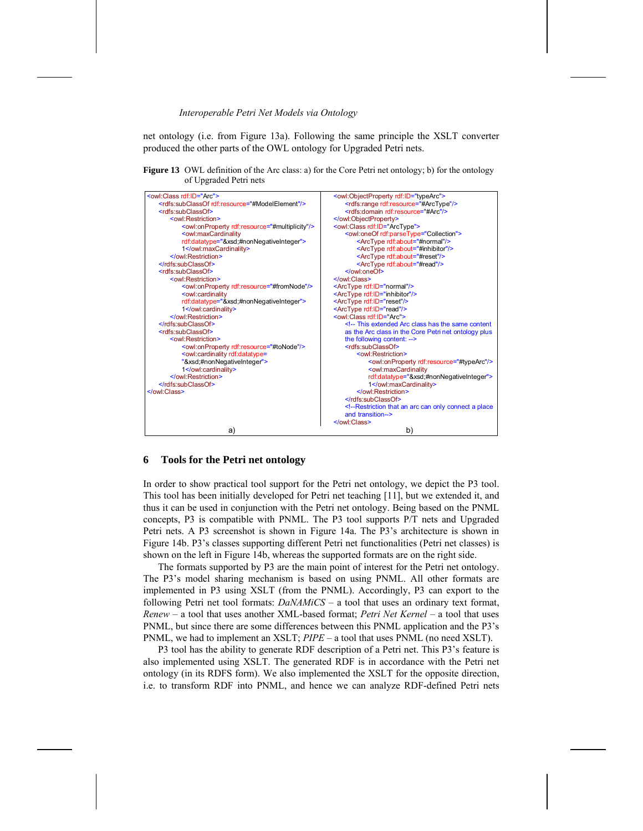net ontology (i.e. from Figure 13a). Following the same principle the XSLT converter produced the other parts of the OWL ontology for Upgraded Petri nets.

Figure 13 OWL definition of the Arc class: a) for the Core Petri net ontology; b) for the ontology of Upgraded Petri nets

| <owl:class rdf:id="Arc"></owl:class>                                                                         | <owl:objectproperty rdf:id="typeArc"></owl:objectproperty> |  |
|--------------------------------------------------------------------------------------------------------------|------------------------------------------------------------|--|
| <rdfs:subclassof rdf:resource="#ModelElement"></rdfs:subclassof>                                             | <rdfs:range rdf:resource="#ArcType"></rdfs:range>          |  |
| <rdfs:subclassof></rdfs:subclassof>                                                                          | <rdfs:domain rdf:resource="#Arc"></rdfs:domain>            |  |
| <owl:restriction></owl:restriction>                                                                          |                                                            |  |
| <owl:onproperty rdf:resource="#multiplicity"></owl:onproperty>                                               | <owl:class rdf:id="ArcType"></owl:class>                   |  |
| <owl:maxcardinality< td=""><td><owl:oneof rdf:parsetype="Collection"></owl:oneof></td></owl:maxcardinality<> | <owl:oneof rdf:parsetype="Collection"></owl:oneof>         |  |
| rdf:datatype="&xsd#nonNegativeInteger">                                                                      | <arctype rdf:about="#normal"></arctype>                    |  |
| 1                                                                                                            | <arctype rdf:about="#inhibitor"></arctype>                 |  |
|                                                                                                              | <arctype rdf:about="#reset"></arctype>                     |  |
|                                                                                                              | <arctype rdf:about="#read"></arctype>                      |  |
| <rdfs:subclassof></rdfs:subclassof>                                                                          |                                                            |  |
| <owl:restriction></owl:restriction>                                                                          |                                                            |  |
| <owl:onproperty rdf:resource="#fromNode"></owl:onproperty>                                                   | <arctype rdf:id="normal"></arctype>                        |  |
| <owl:cardinality< td=""><td><arctype rdf:id="inhibitor"></arctype></td></owl:cardinality<>                   | <arctype rdf:id="inhibitor"></arctype>                     |  |
| rdf:datatype="&xsd#nonNegativeInteger">                                                                      | <arctype rdf:id="reset"></arctype>                         |  |
| 1                                                                                                            | <arctype rdf:id="read"></arctype>                          |  |
|                                                                                                              | <owl:class rdf:id="Arc"></owl:class>                       |  |
|                                                                                                              | $\leq$ -- This extended Arc class has the same content     |  |
| <rdfs:subclassof></rdfs:subclassof>                                                                          | as the Arc class in the Core Petri net ontology plus       |  |
| <owl:restriction></owl:restriction>                                                                          | the following content: -->                                 |  |
| <owl:onproperty rdf:resource="#toNode"></owl:onproperty>                                                     | <rdfs:subclassof></rdfs:subclassof>                        |  |
| <owl:cardinality rdf:datatype="&lt;/td"><td><owl:restriction></owl:restriction></td></owl:cardinality>       | <owl:restriction></owl:restriction>                        |  |
| "&xsd#nonNegativeInteger">                                                                                   | <owl:onproperty rdf:resource="#typeArc"></owl:onproperty>  |  |
| 1                                                                                                            | <owl:maxcardinality< td=""></owl:maxcardinality<>          |  |
|                                                                                                              | rdf:datatype="&xsd#nonNegativeInteger">                    |  |
|                                                                                                              | 1                                                          |  |
|                                                                                                              |                                                            |  |
|                                                                                                              |                                                            |  |
|                                                                                                              | $\leq$ --Restriction that an arc can only connect a place  |  |
|                                                                                                              | and transition->                                           |  |
|                                                                                                              |                                                            |  |
| a)                                                                                                           | b)                                                         |  |

## **6 Tools for the Petri net ontology**

In order to show practical tool support for the Petri net ontology, we depict the P3 tool. This tool has been initially developed for Petri net teaching [11], but we extended it, and thus it can be used in conjunction with the Petri net ontology. Being based on the PNML concepts, P3 is compatible with PNML. The P3 tool supports P/T nets and Upgraded Petri nets. A P3 screenshot is shown in Figure 14a. The P3's architecture is shown in Figure 14b. P3's classes supporting different Petri net functionalities (Petri net classes) is shown on the left in Figure 14b, whereas the supported formats are on the right side.

The formats supported by P3 are the main point of interest for the Petri net ontology. The P3's model sharing mechanism is based on using PNML. All other formats are implemented in P3 using XSLT (from the PNML). Accordingly, P3 can export to the following Petri net tool formats: *DaNAMiCS* – a tool that uses an ordinary text format, *Renew* – a tool that uses another XML-based format; *Petri Net Kernel* – a tool that uses PNML, but since there are some differences between this PNML application and the P3's PNML, we had to implement an XSLT; *PIPE* – a tool that uses PNML (no need XSLT).

P3 tool has the ability to generate RDF description of a Petri net. This P3's feature is also implemented using XSLT. The generated RDF is in accordance with the Petri net ontology (in its RDFS form). We also implemented the XSLT for the opposite direction, i.e. to transform RDF into PNML, and hence we can analyze RDF-defined Petri nets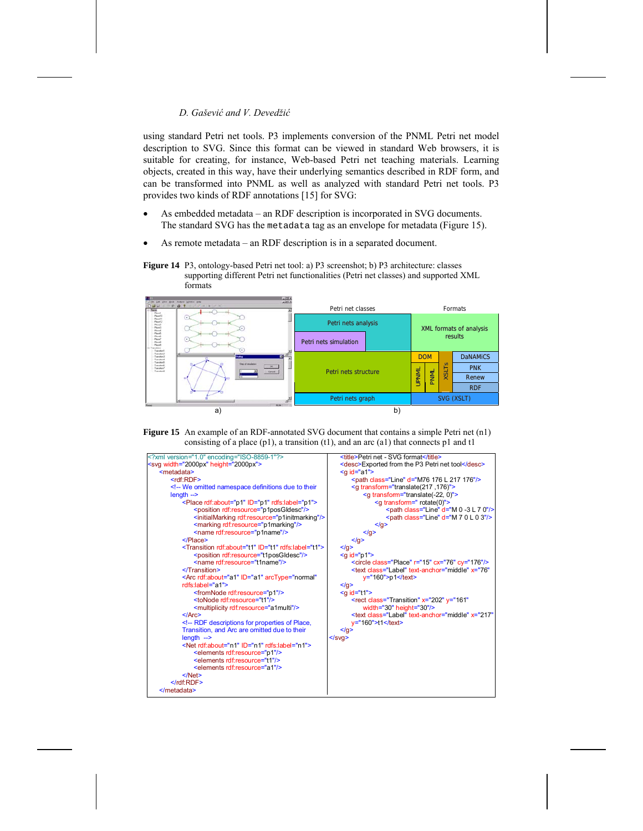using standard Petri net tools. P3 implements conversion of the PNML Petri net model description to SVG. Since this format can be viewed in standard Web browsers, it is suitable for creating, for instance, Web-based Petri net teaching materials. Learning objects, created in this way, have their underlying semantics described in RDF form, and can be transformed into PNML as well as analyzed with standard Petri net tools. P3 provides two kinds of RDF annotations [15] for SVG:

- As embedded metadata an RDF description is incorporated in SVG documents. The standard SVG has the metadata tag as an envelope for metadata (Figure 15).
- As remote metadata an RDF description is in a separated document.







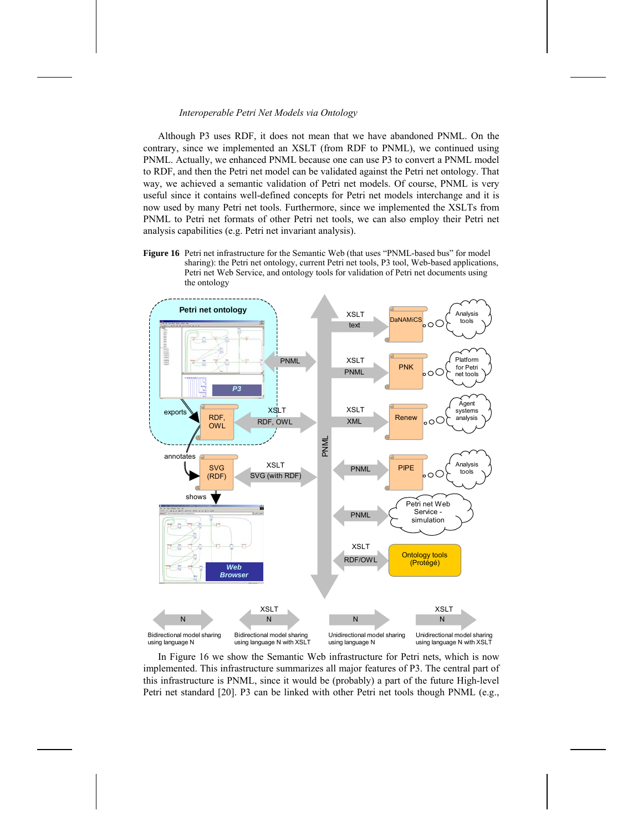Although P3 uses RDF, it does not mean that we have abandoned PNML. On the contrary, since we implemented an XSLT (from RDF to PNML), we continued using PNML. Actually, we enhanced PNML because one can use P3 to convert a PNML model to RDF, and then the Petri net model can be validated against the Petri net ontology. That way, we achieved a semantic validation of Petri net models. Of course, PNML is very useful since it contains well-defined concepts for Petri net models interchange and it is now used by many Petri net tools. Furthermore, since we implemented the XSLTs from PNML to Petri net formats of other Petri net tools, we can also employ their Petri net analysis capabilities (e.g. Petri net invariant analysis).

**Figure 16** Petri net infrastructure for the Semantic Web (that uses "PNML-based bus" for model sharing): the Petri net ontology, current Petri net tools, P3 tool, Web-based applications, Petri net Web Service, and ontology tools for validation of Petri net documents using the ontology



In Figure 16 we show the Semantic Web infrastructure for Petri nets, which is now implemented. This infrastructure summarizes all major features of P3. The central part of this infrastructure is PNML, since it would be (probably) a part of the future High-level Petri net standard [20]. P3 can be linked with other Petri net tools though PNML (e.g.,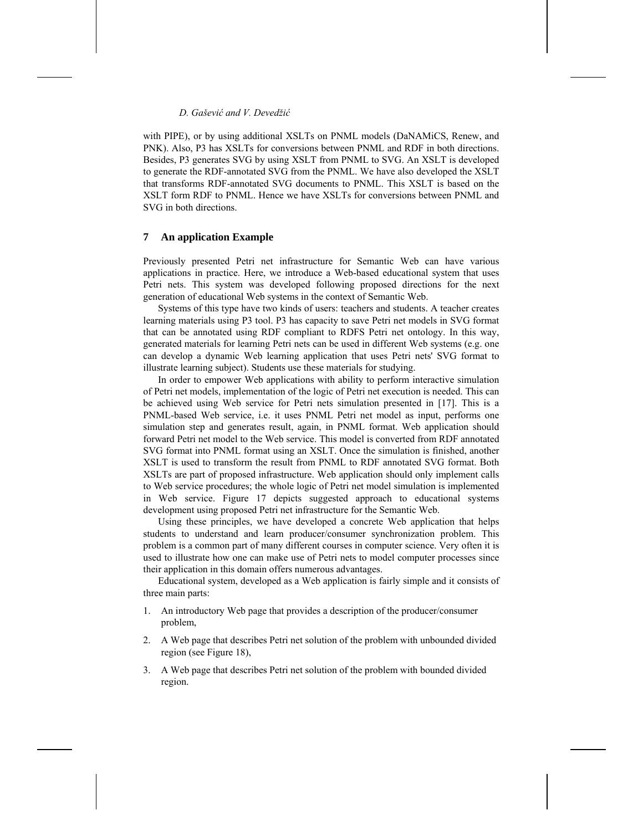with PIPE), or by using additional XSLTs on PNML models (DaNAMiCS, Renew, and PNK). Also, P3 has XSLTs for conversions between PNML and RDF in both directions. Besides, P3 generates SVG by using XSLT from PNML to SVG. An XSLT is developed to generate the RDF-annotated SVG from the PNML. We have also developed the XSLT that transforms RDF-annotated SVG documents to PNML. This XSLT is based on the XSLT form RDF to PNML. Hence we have XSLTs for conversions between PNML and SVG in both directions.

### **7 An application Example**

Previously presented Petri net infrastructure for Semantic Web can have various applications in practice. Here, we introduce a Web-based educational system that uses Petri nets. This system was developed following proposed directions for the next generation of educational Web systems in the context of Semantic Web.

Systems of this type have two kinds of users: teachers and students. A teacher creates learning materials using P3 tool. P3 has capacity to save Petri net models in SVG format that can be annotated using RDF compliant to RDFS Petri net ontology. In this way, generated materials for learning Petri nets can be used in different Web systems (e.g. one can develop a dynamic Web learning application that uses Petri nets' SVG format to illustrate learning subject). Students use these materials for studying.

In order to empower Web applications with ability to perform interactive simulation of Petri net models, implementation of the logic of Petri net execution is needed. This can be achieved using Web service for Petri nets simulation presented in [17]. This is a PNML-based Web service, i.e. it uses PNML Petri net model as input, performs one simulation step and generates result, again, in PNML format. Web application should forward Petri net model to the Web service. This model is converted from RDF annotated SVG format into PNML format using an XSLT. Once the simulation is finished, another XSLT is used to transform the result from PNML to RDF annotated SVG format. Both XSLTs are part of proposed infrastructure. Web application should only implement calls to Web service procedures; the whole logic of Petri net model simulation is implemented in Web service. Figure 17 depicts suggested approach to educational systems development using proposed Petri net infrastructure for the Semantic Web.

Using these principles, we have developed a concrete Web application that helps students to understand and learn producer/consumer synchronization problem. This problem is a common part of many different courses in computer science. Very often it is used to illustrate how one can make use of Petri nets to model computer processes since their application in this domain offers numerous advantages.

Educational system, developed as a Web application is fairly simple and it consists of three main parts:

- 1. An introductory Web page that provides a description of the producer/consumer problem,
- 2. A Web page that describes Petri net solution of the problem with unbounded divided region (see Figure 18),
- 3. A Web page that describes Petri net solution of the problem with bounded divided region.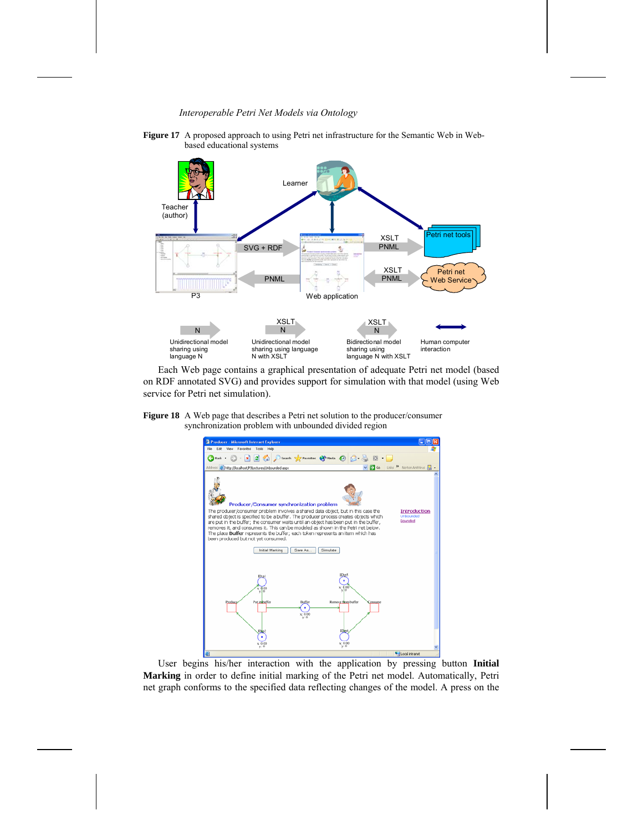

**Figure 17** A proposed approach to using Petri net infrastructure for the Semantic Web in Webbased educational systems

Each Web page contains a graphical presentation of adequate Petri net model (based on RDF annotated SVG) and provides support for simulation with that model (using Web service for Petri net simulation).



**Figure 18** A Web page that describes a Petri net solution to the producer/consumer

User begins his/her interaction with the application by pressing button **Initial Marking** in order to define initial marking of the Petri net model. Automatically, Petri net graph conforms to the specified data reflecting changes of the model. A press on the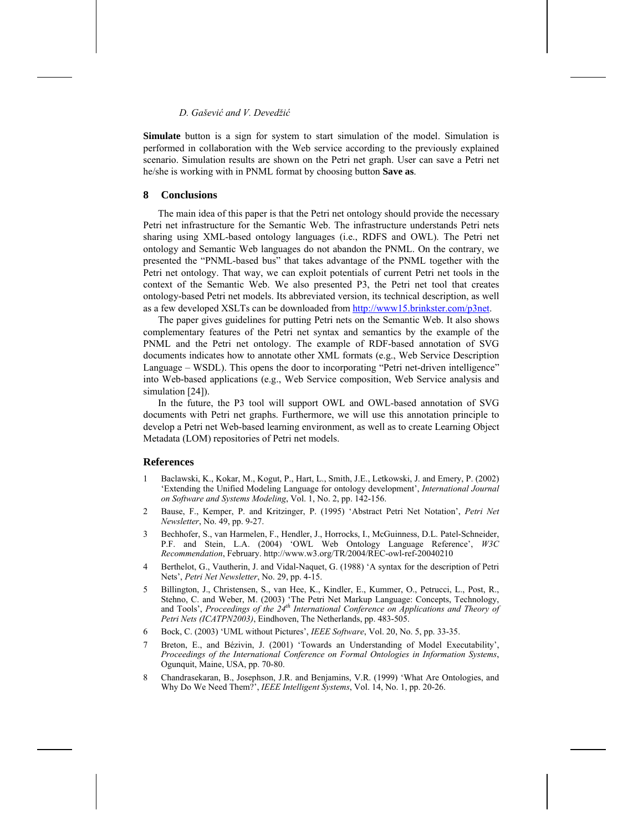**Simulate** button is a sign for system to start simulation of the model. Simulation is performed in collaboration with the Web service according to the previously explained scenario. Simulation results are shown on the Petri net graph. User can save a Petri net he/she is working with in PNML format by choosing button **Save as**.

## **8 Conclusions**

The main idea of this paper is that the Petri net ontology should provide the necessary Petri net infrastructure for the Semantic Web. The infrastructure understands Petri nets sharing using XML-based ontology languages (i.e., RDFS and OWL). The Petri net ontology and Semantic Web languages do not abandon the PNML. On the contrary, we presented the "PNML-based bus" that takes advantage of the PNML together with the Petri net ontology. That way, we can exploit potentials of current Petri net tools in the context of the Semantic Web. We also presented P3, the Petri net tool that creates ontology-based Petri net models. Its abbreviated version, its technical description, as well as a few developed XSLTs can be downloaded from http://www15.brinkster.com/p3net.

The paper gives guidelines for putting Petri nets on the Semantic Web. It also shows complementary features of the Petri net syntax and semantics by the example of the PNML and the Petri net ontology. The example of RDF-based annotation of SVG documents indicates how to annotate other XML formats (e.g., Web Service Description Language – WSDL). This opens the door to incorporating "Petri net-driven intelligence" into Web-based applications (e.g., Web Service composition, Web Service analysis and simulation [24]).

In the future, the P3 tool will support OWL and OWL-based annotation of SVG documents with Petri net graphs. Furthermore, we will use this annotation principle to develop a Petri net Web-based learning environment, as well as to create Learning Object Metadata (LOM) repositories of Petri net models.

## **References**

- 1 Baclawski, K., Kokar, M., Kogut, P., Hart, L., Smith, J.E., Letkowski, J. and Emery, P. (2002) 'Extending the Unified Modeling Language for ontology development', *International Journal on Software and Systems Modeling*, Vol. 1, No. 2, pp. 142-156.
- 2 Bause, F., Kemper, P. and Kritzinger, P. (1995) 'Abstract Petri Net Notation', *Petri Net Newsletter*, No. 49, pp. 9-27.
- 3 Bechhofer, S., van Harmelen, F., Hendler, J., Horrocks, I., McGuinness, D.L. Patel-Schneider, P.F. and Stein, L.A. (2004) 'OWL Web Ontology Language Reference', *W3C Recommendation*, February. http://www.w3.org/TR/2004/REC-owl-ref-20040210
- 4 Berthelot, G., Vautherin, J. and Vidal-Naquet, G. (1988) 'A syntax for the description of Petri Nets', *Petri Net Newsletter*, No. 29, pp. 4-15.
- 5 Billington, J., Christensen, S., van Hee, K., Kindler, E., Kummer, O., Petrucci, L., Post, R., Stehno, C. and Weber, M. (2003) 'The Petri Net Markup Language: Concepts, Technology, and Tools', *Proceedings of the 24<sup>th</sup> International Conference on Applications and Theory of Petri Nets (ICATPN2003)*, Eindhoven, The Netherlands, pp. 483-505.
- 6 Bock, C. (2003) 'UML without Pictures', *IEEE Software*, Vol. 20, No. 5, pp. 33-35.
- 7 Breton, E., and Bézivin, J. (2001) 'Towards an Understanding of Model Executability', *Proceedings of the International Conference on Formal Ontologies in Information Systems*, Ogunquit, Maine, USA, pp. 70-80.
- 8 Chandrasekaran, B., Josephson, J.R. and Benjamins, V.R. (1999) 'What Are Ontologies, and Why Do We Need Them?', *IEEE Intelligent Systems*, Vol. 14, No. 1, pp. 20-26.